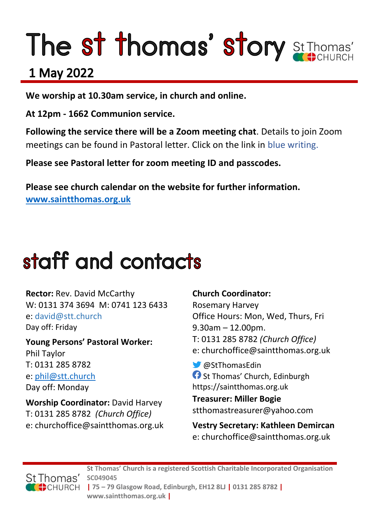# The st thomas' story St Thomas'

### 1 May 2022

**We worship at 10.30am service, in church and online.** 

**At 12pm - 1662 Communion service.**

**Following the service there will be a Zoom meeting chat**. Details to join Zoom meetings can be found in Pastoral letter. Click on the link in blue writing.

**Please see Pastoral letter for zoom meeting ID and passcodes.**

**Please see church calendar on the website for further information. [www.saintthomas.org.uk](http://www.saintthomas.org.uk/)**

### staff and contacts

**Rector:** Rev. David McCarthy W: 0131 374 3694 M: 0741 123 6433 e: david@stt.church Day off: Friday

**Young Persons' Pastoral Worker:** Phil Taylor T: 0131 285 8782 e: [phil@stt.church](mailto:phil@stt.church) Day off: Monday

**Worship Coordinator:** David Harvey T: 0131 285 8782 *(Church Office)* e: churchoffice@saintthomas.org.uk

#### **Church Coordinator:**

Rosemary Harvey Office Hours: Mon, Wed, Thurs, Fri 9.30am – 12.00pm. T: 0131 285 8782 *(Church Office)* e: churchoffice@saintthomas.org.uk

@StThomasEdin **St Thomas' Church, Edinburgh** https://saintthomas.org.uk

**Treasurer: Miller Bogie** stthomastreasurer@yahoo.com

**Vestry Secretary: Kathleen Demircan**  e: churchoffice@saintthomas.org.uk

St Thomas' CHURCH

**St Thomas' Church is a registered Scottish Charitable Incorporated Organisation SC049045 | 75 – 79 Glasgow Road, Edinburgh, EH12 8LJ | 0131 285 8782 |** 

**www.saintthomas.org.uk |**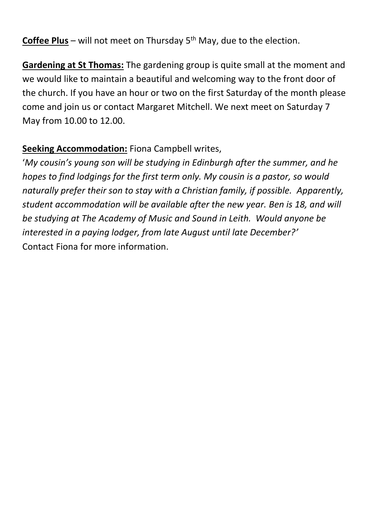**Coffee Plus** – will not meet on Thursday 5<sup>th</sup> May, due to the election.

**Gardening at St Thomas:** The gardening group is quite small at the moment and we would like to maintain a beautiful and welcoming way to the front door of the church. If you have an hour or two on the first Saturday of the month please come and join us or contact Margaret Mitchell. We next meet on Saturday 7 May from 10.00 to 12.00.

#### **Seeking Accommodation:** Fiona Campbell writes,

'*My cousin's young son will be studying in Edinburgh after the summer, and he hopes to find lodgings for the first term only. My cousin is a pastor, so would naturally prefer their son to stay with a Christian family, if possible. Apparently, student accommodation will be available after the new year. Ben is 18, and will be studying at The Academy of Music and Sound in Leith. Would anyone be interested in a paying lodger, from late August until late December?'* Contact Fiona for more information.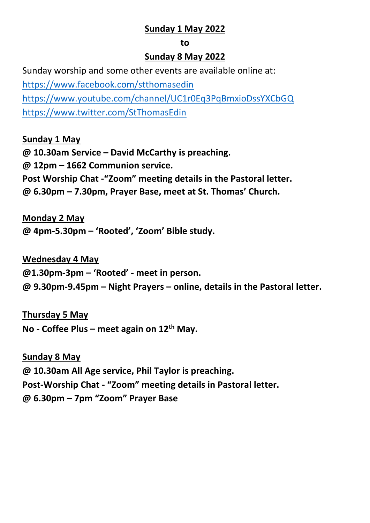#### **Sunday 1 May 2022**

#### **to**

#### **Sunday 8 May 2022**

Sunday worship and some other events are available online at: <https://www.facebook.com/stthomasedin> <https://www.youtube.com/channel/UC1r0Eq3PqBmxioDssYXCbGQ> <https://www.twitter.com/StThomasEdin>

#### **Sunday 1 May**

**@ 10.30am Service – David McCarthy is preaching. @ 12pm – 1662 Communion service. Post Worship Chat -"Zoom" meeting details in the Pastoral letter. @ 6.30pm – 7.30pm, Prayer Base, meet at St. Thomas' Church.**

#### **Monday 2 May**

**@ 4pm-5.30pm – 'Rooted', 'Zoom' Bible study.**

#### **Wednesday 4 May**

**@1.30pm-3pm – 'Rooted' - meet in person.**

**@ 9.30pm-9.45pm – Night Prayers – online, details in the Pastoral letter.**

#### **Thursday 5 May**

**No - Coffee Plus – meet again on 12th May.**

#### **Sunday 8 May**

**@ 10.30am All Age service, Phil Taylor is preaching. Post-Worship Chat - "Zoom" meeting details in Pastoral letter. @ 6.30pm – 7pm "Zoom" Prayer Base**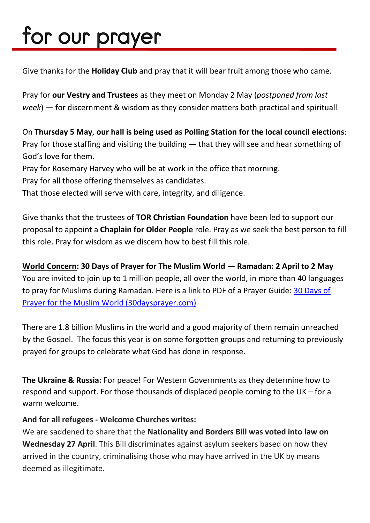## for our prayer

Give thanks for the **Holiday Club** and pray that it will bear fruit among those who came.

Pray for **our Vestry and Trustees** as they meet on Monday 2 May (*postponed from last week*) — for discernment & wisdom as they consider matters both practical and spiritual!

On **Thursday 5 May**, **our hall is being used as Polling Station for the local council elections**: Pray for those staffing and visiting the building — that they will see and hear something of God's love for them.

Pray for Rosemary Harvey who will be at work in the office that morning.

Pray for all those offering themselves as candidates.

That those elected will serve with care, integrity, and diligence.

Give thanks that the trustees of **TOR Christian Foundation** have been led to support our proposal to appoint a **Chaplain for Older People** role. Pray as we seek the best person to fill this role. Pray for wisdom as we discern how to best fill this role.

**World Concern: 30 Days of Prayer for The Muslim World — Ramadan: 2 April to 2 May** You are invited to join up to 1 million people, all over the world, in more than 40 languages to pray for Muslims during Ramadan. Here is a link to PDF of a Prayer Guide: [30 Days of](https://www.30daysprayer.com/)  [Prayer for the Muslim World \(30daysprayer.com\)](https://www.30daysprayer.com/)

There are 1.8 billion Muslims in the world and a good majority of them remain unreached by the Gospel. The focus this year is on some forgotten groups and returning to previously prayed for groups to celebrate what God has done in response.

**The Ukraine & Russia:** For peace! For Western Governments as they determine how to respond and support. For those thousands of displaced people coming to the UK – for a warm welcome.

#### **And for all refugees - Welcome Churches writes:**

We are saddened to share that the **Nationality and Borders Bill was voted into law on Wednesday 27 April**. This Bill discriminates against asylum seekers based on how they arrived in the country, criminalising those who may have arrived in the UK by means deemed as illegitimate.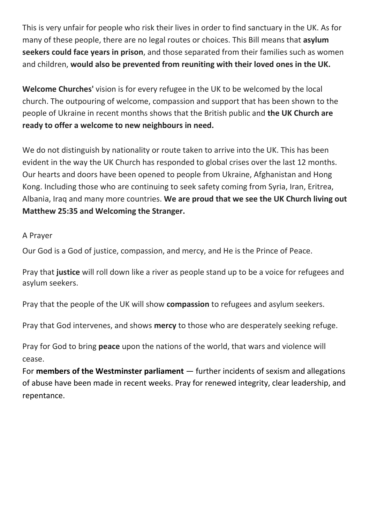This is very unfair for people who risk their lives in order to find sanctuary in the UK. As for many of these people, there are no legal routes or choices. This Bill means that **asylum seekers could face years in prison**, and those separated from their families such as women and children, **would also be prevented from reuniting with their loved ones in the UK.**

**Welcome Churches'** vision is for every refugee in the UK to be welcomed by the local church. The outpouring of welcome, compassion and support that has been shown to the people of Ukraine in recent months shows that the British public and **the UK Church are ready to offer a welcome to new neighbours in need.**

We do not distinguish by nationality or route taken to arrive into the UK. This has been evident in the way the UK Church has responded to global crises over the last 12 months. Our hearts and doors have been opened to people from Ukraine, Afghanistan and Hong Kong. Including those who are continuing to seek safety coming from Syria, Iran, Eritrea, Albania, Iraq and many more countries. **We are proud that we see the UK Church living out Matthew 25:35 and Welcoming the Stranger.**

#### A Prayer

Our God is a God of justice, compassion, and mercy, and He is the Prince of Peace.

Pray that **justice** will roll down like a river as people stand up to be a voice for refugees and asylum seekers.

Pray that the people of the UK will show **compassion** to refugees and asylum seekers.

Pray that God intervenes, and shows **mercy** to those who are desperately seeking refuge.

Pray for God to bring **peace** upon the nations of the world, that wars and violence will cease.

For **members of the Westminster parliament** — further incidents of sexism and allegations of abuse have been made in recent weeks. Pray for renewed integrity, clear leadership, and repentance.